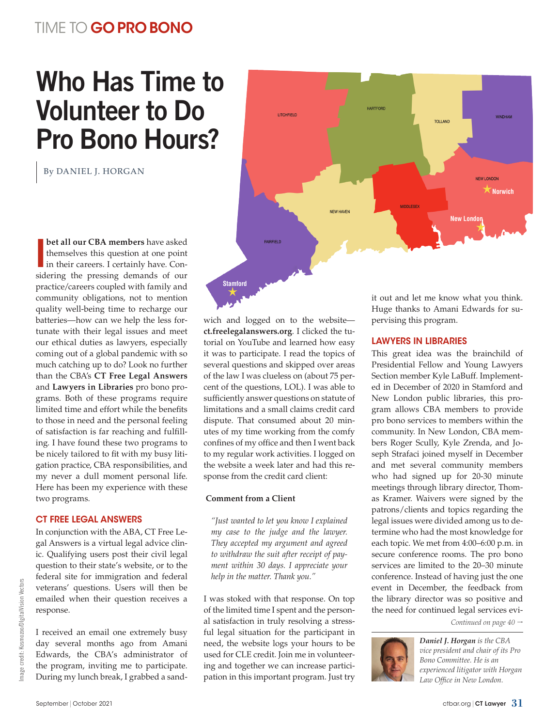# <span id="page-0-0"></span>TIME TO GO PRO BONO

# Who Has Time to Volunteer to Do Pro Bono Hours?

By DANIEL J. HORGAN



**I bet all our CBA members** have asked themselves this question at one point in their careers. I certainly have. Conthemselves this question at one point sidering the pressing demands of our practice/careers coupled with family and community obligations, not to mention quality well-being time to recharge our batteries—how can we help the less fortunate with their legal issues and meet our ethical duties as lawyers, especially coming out of a global pandemic with so much catching up to do? Look no further than the CBA's **CT Free Legal Answers** and **Lawyers in Libraries** pro bono programs. Both of these programs require limited time and effort while the benefits to those in need and the personal feeling of satisfaction is far reaching and fulfilling. I have found these two programs to be nicely tailored to fit with my busy litigation practice, CBA responsibilities, and my never a dull moment personal life. Here has been my experience with these two programs.

#### CT FREE LEGAL ANSWERS

In conjunction with the ABA, CT Free Legal Answers is a virtual legal advice clinic. Qualifying users post their civil legal question to their state's website, or to the federal site for immigration and federal veterans' questions. Users will then be emailed when their question receives a response.

I received an email one extremely busy day several months ago from Amani Edwards, the CBA's administrator of the program, inviting me to participate. During my lunch break, I grabbed a sandwich and logged on to the website **<ct.freelegalanswers.org>**. I clicked the tutorial on YouTube and learned how easy it was to participate. I read the topics of several questions and skipped over areas of the law I was clueless on (about 75 percent of the questions, LOL). I was able to sufficiently answer questions on statute of limitations and a small claims credit card dispute. That consumed about 20 minutes of my time working from the comfy confines of my office and then I went back to my regular work activities. I logged on the website a week later and had this response from the credit card client:

#### **Comment from a Client**

*"Just wanted to let you know I explained my case to the judge and the lawyer. They accepted my argument and agreed to withdraw the suit after receipt of payment within 30 days. I appreciate your help in the matter. Thank you."*

I was stoked with that response. On top of the limited time I spent and the personal satisfaction in truly resolving a stressful legal situation for the participant in need, the website logs your hours to be used for CLE credit. Join me in volunteering and together we can increase participation in this important program. Just try it out and let me know what you think. Huge thanks to Amani Edwards for supervising this program.

#### LAWYERS IN LIBRARIES

This great idea was the brainchild of Presidential Fellow and Young Lawyers Section member Kyle LaBuff. Implemented in December of 2020 in Stamford and New London public libraries, this program allows CBA members to provide pro bono services to members within the community. In New London, CBA members Roger Scully, Kyle Zrenda, and Joseph Strafaci joined myself in December and met several community members who had signed up for 20-30 minute meetings through library director, Thomas Kramer. Waivers were signed by the patrons/clients and topics regarding the legal issues were divided among us to determine who had the most knowledge for each topic. We met from 4:00–6:00 p.m. in secure conference rooms. The pro bono services are limited to the 20–30 minute conference. Instead of having just the one event in December, the feedback from the library director was so positive and the need for continued legal services evi-

*[Continued on page 40](#page-1-0)* 



*Daniel J. Horgan is the CBA vice president and chair of its Pro Bono Committee. He is an experienced litigator with Horgan Law Office in New London.*